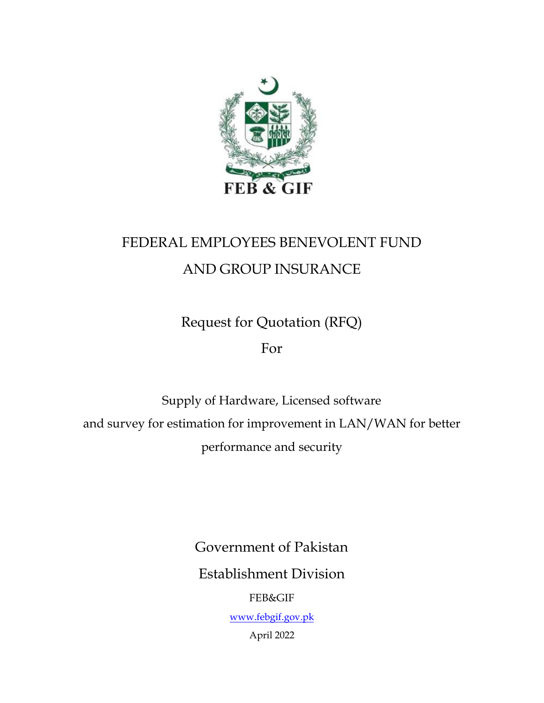

# FEDERAL EMPLOYEES BENEVOLENT FUND AND GROUP INSURANCE

Request for Quotation (RFQ)

For

Supply of Hardware, Licensed software and survey for estimation for improvement in LAN/WAN for better performance and security

Government of Pakistan

Establishment Division

FEB&GIF

[www.febgif.gov.pk](http://www.febgif.gov.pk/)

April 2022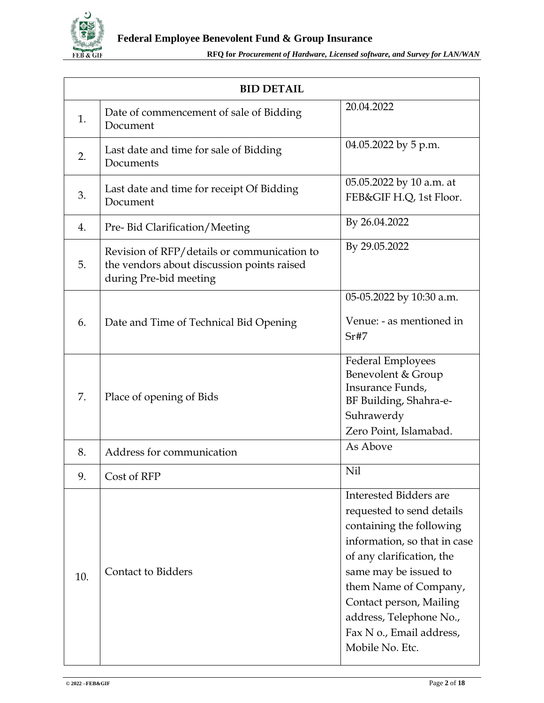

| <b>BID DETAIL</b> |                                                                                                                     |                                                                                                                                                                                                                                                                                                     |  |  |  |  |
|-------------------|---------------------------------------------------------------------------------------------------------------------|-----------------------------------------------------------------------------------------------------------------------------------------------------------------------------------------------------------------------------------------------------------------------------------------------------|--|--|--|--|
| 1.                | Date of commencement of sale of Bidding<br>Document                                                                 | 20.04.2022                                                                                                                                                                                                                                                                                          |  |  |  |  |
| 2.                | Last date and time for sale of Bidding<br>Documents                                                                 | 04.05.2022 by 5 p.m.                                                                                                                                                                                                                                                                                |  |  |  |  |
| 3.                | Last date and time for receipt Of Bidding<br>Document                                                               | 05.05.2022 by 10 a.m. at<br>FEB&GIF H.Q, 1st Floor.                                                                                                                                                                                                                                                 |  |  |  |  |
| 4.                | Pre-Bid Clarification/Meeting                                                                                       | By 26.04.2022                                                                                                                                                                                                                                                                                       |  |  |  |  |
| 5.                | Revision of RFP/details or communication to<br>the vendors about discussion points raised<br>during Pre-bid meeting | By 29.05.2022                                                                                                                                                                                                                                                                                       |  |  |  |  |
| 6.                | Date and Time of Technical Bid Opening                                                                              | 05-05.2022 by 10:30 a.m.<br>Venue: - as mentioned in<br>Sr#7                                                                                                                                                                                                                                        |  |  |  |  |
| 7.                | Place of opening of Bids                                                                                            | <b>Federal Employees</b><br>Benevolent & Group<br>Insurance Funds,<br>BF Building, Shahra-e-<br>Suhrawerdy<br>Zero Point, Islamabad.                                                                                                                                                                |  |  |  |  |
| 8.                | Address for communication                                                                                           | As Above                                                                                                                                                                                                                                                                                            |  |  |  |  |
| 9                 | Cost of RFP                                                                                                         | Nil                                                                                                                                                                                                                                                                                                 |  |  |  |  |
| 10.               | <b>Contact to Bidders</b>                                                                                           | Interested Bidders are<br>requested to send details<br>containing the following<br>information, so that in case<br>of any clarification, the<br>same may be issued to<br>them Name of Company,<br>Contact person, Mailing<br>address, Telephone No.,<br>Fax N o., Email address,<br>Mobile No. Etc. |  |  |  |  |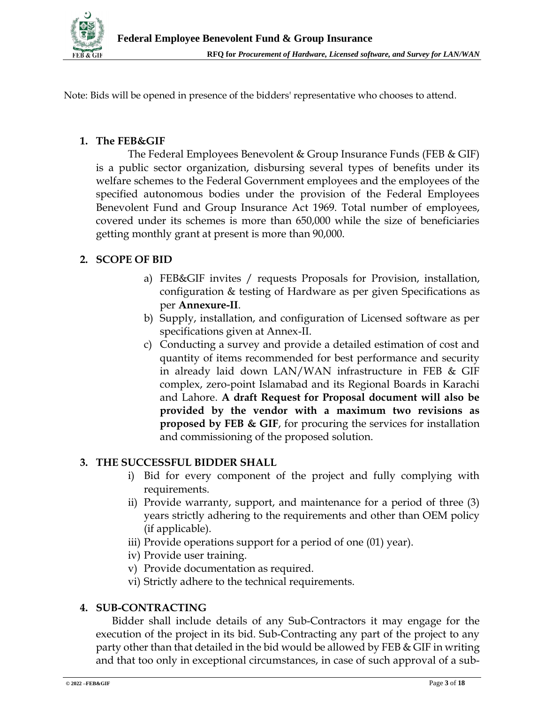

Note: Bids will be opened in presence of the bidders' representative who chooses to attend.

## **1. The FEB&GIF**

The Federal Employees Benevolent & Group Insurance Funds (FEB & GIF) is a public sector organization, disbursing several types of benefits under its welfare schemes to the Federal Government employees and the employees of the specified autonomous bodies under the provision of the Federal Employees Benevolent Fund and Group Insurance Act 1969. Total number of employees, covered under its schemes is more than 650,000 while the size of beneficiaries getting monthly grant at present is more than 90,000.

## **2. SCOPE OF BID**

- a) FEB&GIF invites / requests Proposals for Provision, installation, configuration & testing of Hardware as per given Specifications as per **Annexure-II**.
- b) Supply, installation, and configuration of Licensed software as per specifications given at Annex-II.
- c) Conducting a survey and provide a detailed estimation of cost and quantity of items recommended for best performance and security in already laid down LAN/WAN infrastructure in FEB & GIF complex, zero-point Islamabad and its Regional Boards in Karachi and Lahore. **A draft Request for Proposal document will also be provided by the vendor with a maximum two revisions as proposed by FEB & GIF**, for procuring the services for installation and commissioning of the proposed solution.

## **3. THE SUCCESSFUL BIDDER SHALL**

- i) Bid for every component of the project and fully complying with requirements.
- ii) Provide warranty, support, and maintenance for a period of three (3) years strictly adhering to the requirements and other than OEM policy (if applicable).
- iii) Provide operations support for a period of one (01) year).
- iv) Provide user training.
- v) Provide documentation as required.
- vi) Strictly adhere to the technical requirements.

## **4. SUB-CONTRACTING**

Bidder shall include details of any Sub-Contractors it may engage for the execution of the project in its bid. Sub-Contracting any part of the project to any party other than that detailed in the bid would be allowed by FEB & GIF in writing and that too only in exceptional circumstances, in case of such approval of a sub-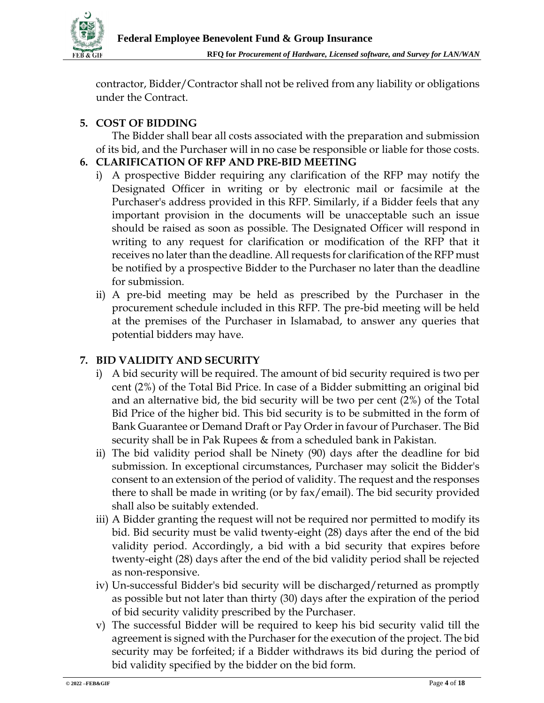

contractor, Bidder/Contractor shall not be relived from any liability or obligations under the Contract.

## **5. COST OF BIDDING**

The Bidder shall bear all costs associated with the preparation and submission of its bid, and the Purchaser will in no case be responsible or liable for those costs.

## **6. CLARIFICATION OF RFP AND PRE-BID MEETING**

- i) A prospective Bidder requiring any clarification of the RFP may notify the Designated Officer in writing or by electronic mail or facsimile at the Purchaser's address provided in this RFP. Similarly, if a Bidder feels that any important provision in the documents will be unacceptable such an issue should be raised as soon as possible. The Designated Officer will respond in writing to any request for clarification or modification of the RFP that it receives no later than the deadline. All requests for clarification of the RFP must be notified by a prospective Bidder to the Purchaser no later than the deadline for submission.
- ii) A pre-bid meeting may be held as prescribed by the Purchaser in the procurement schedule included in this RFP. The pre-bid meeting will be held at the premises of the Purchaser in Islamabad, to answer any queries that potential bidders may have.

## **7. BID VALIDITY AND SECURITY**

- i) A bid security will be required. The amount of bid security required is two per cent (2%) of the Total Bid Price. In case of a Bidder submitting an original bid and an alternative bid, the bid security will be two per cent (2%) of the Total Bid Price of the higher bid. This bid security is to be submitted in the form of Bank Guarantee or Demand Draft or Pay Order in favour of Purchaser. The Bid security shall be in Pak Rupees & from a scheduled bank in Pakistan.
- ii) The bid validity period shall be Ninety (90) days after the deadline for bid submission. In exceptional circumstances, Purchaser may solicit the Bidder's consent to an extension of the period of validity. The request and the responses there to shall be made in writing (or by fax/email). The bid security provided shall also be suitably extended.
- iii) A Bidder granting the request will not be required nor permitted to modify its bid. Bid security must be valid twenty-eight (28) days after the end of the bid validity period. Accordingly, a bid with a bid security that expires before twenty-eight (28) days after the end of the bid validity period shall be rejected as non-responsive.
- iv) Un-successful Bidder's bid security will be discharged/returned as promptly as possible but not later than thirty (30) days after the expiration of the period of bid security validity prescribed by the Purchaser.
- v) The successful Bidder will be required to keep his bid security valid till the agreement is signed with the Purchaser for the execution of the project. The bid security may be forfeited; if a Bidder withdraws its bid during the period of bid validity specified by the bidder on the bid form.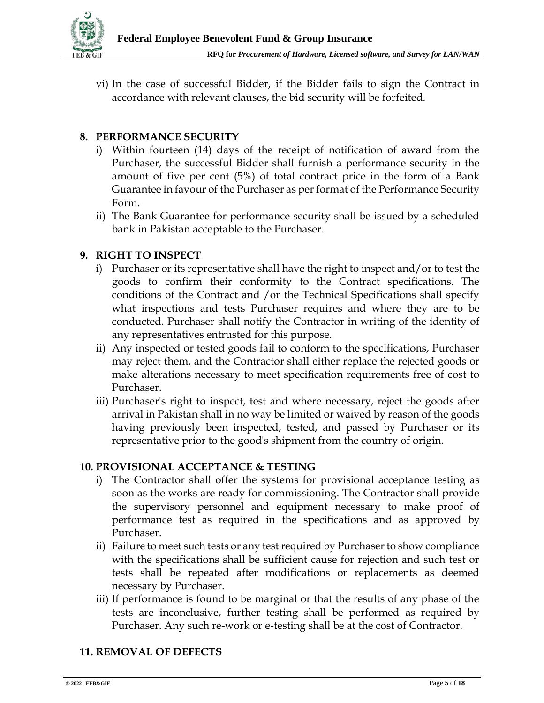

vi) In the case of successful Bidder, if the Bidder fails to sign the Contract in accordance with relevant clauses, the bid security will be forfeited.

## **8. PERFORMANCE SECURITY**

- i) Within fourteen (14) days of the receipt of notification of award from the Purchaser, the successful Bidder shall furnish a performance security in the amount of five per cent (5%) of total contract price in the form of a Bank Guarantee in favour of the Purchaser as per format of the Performance Security Form.
- ii) The Bank Guarantee for performance security shall be issued by a scheduled bank in Pakistan acceptable to the Purchaser.

## **9. RIGHT TO INSPECT**

- i) Purchaser or its representative shall have the right to inspect and/or to test the goods to confirm their conformity to the Contract specifications. The conditions of the Contract and /or the Technical Specifications shall specify what inspections and tests Purchaser requires and where they are to be conducted. Purchaser shall notify the Contractor in writing of the identity of any representatives entrusted for this purpose.
- ii) Any inspected or tested goods fail to conform to the specifications, Purchaser may reject them, and the Contractor shall either replace the rejected goods or make alterations necessary to meet specification requirements free of cost to Purchaser.
- iii) Purchaser's right to inspect, test and where necessary, reject the goods after arrival in Pakistan shall in no way be limited or waived by reason of the goods having previously been inspected, tested, and passed by Purchaser or its representative prior to the good's shipment from the country of origin.

## **10. PROVISIONAL ACCEPTANCE & TESTING**

- i) The Contractor shall offer the systems for provisional acceptance testing as soon as the works are ready for commissioning. The Contractor shall provide the supervisory personnel and equipment necessary to make proof of performance test as required in the specifications and as approved by Purchaser.
- ii) Failure to meet such tests or any test required by Purchaser to show compliance with the specifications shall be sufficient cause for rejection and such test or tests shall be repeated after modifications or replacements as deemed necessary by Purchaser.
- iii) If performance is found to be marginal or that the results of any phase of the tests are inconclusive, further testing shall be performed as required by Purchaser. Any such re-work or e-testing shall be at the cost of Contractor.

## **11. REMOVAL OF DEFECTS**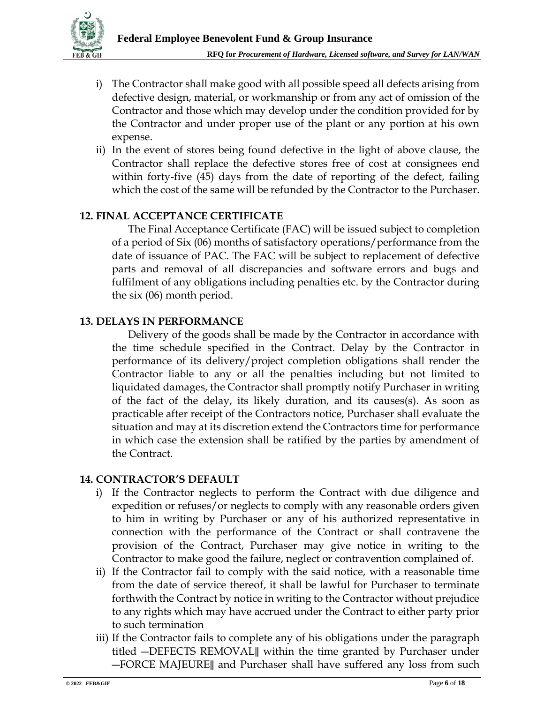

- i) The Contractor shall make good with all possible speed all defects arising from defective design, material, or workmanship or from any act of omission of the Contractor and those which may develop under the condition provided for by the Contractor and under proper use of the plant or any portion at his own expense.
- ii) In the event of stores being found defective in the light of above clause, the Contractor shall replace the defective stores free of cost at consignees end within forty-five (45) days from the date of reporting of the defect, failing which the cost of the same will be refunded by the Contractor to the Purchaser.

## **12. FINAL ACCEPTANCE CERTIFICATE**

The Final Acceptance Certificate (FAC) will be issued subject to completion of a period of Six (06) months of satisfactory operations/performance from the date of issuance of PAC. The FAC will be subject to replacement of defective parts and removal of all discrepancies and software errors and bugs and fulfilment of any obligations including penalties etc. by the Contractor during the six (06) month period.

## **13. DELAYS IN PERFORMANCE**

Delivery of the goods shall be made by the Contractor in accordance with the time schedule specified in the Contract. Delay by the Contractor in performance of its delivery/project completion obligations shall render the Contractor liable to any or all the penalties including but not limited to liquidated damages, the Contractor shall promptly notify Purchaser in writing of the fact of the delay, its likely duration, and its causes(s). As soon as practicable after receipt of the Contractors notice, Purchaser shall evaluate the situation and may at its discretion extend the Contractors time for performance in which case the extension shall be ratified by the parties by amendment of the Contract.

## **14. CONTRACTOR'S DEFAULT**

- i) If the Contractor neglects to perform the Contract with due diligence and expedition or refuses/or neglects to comply with any reasonable orders given to him in writing by Purchaser or any of his authorized representative in connection with the performance of the Contract or shall contravene the provision of the Contract, Purchaser may give notice in writing to the Contractor to make good the failure, neglect or contravention complained of.
- ii) If the Contractor fail to comply with the said notice, with a reasonable time from the date of service thereof, it shall be lawful for Purchaser to terminate forthwith the Contract by notice in writing to the Contractor without prejudice to any rights which may have accrued under the Contract to either party prior to such termination
- iii) If the Contractor fails to complete any of his obligations under the paragraph titled ―DEFECTS REMOVAL‖ within the time granted by Purchaser under ―FORCE MAJEURE‖ and Purchaser shall have suffered any loss from such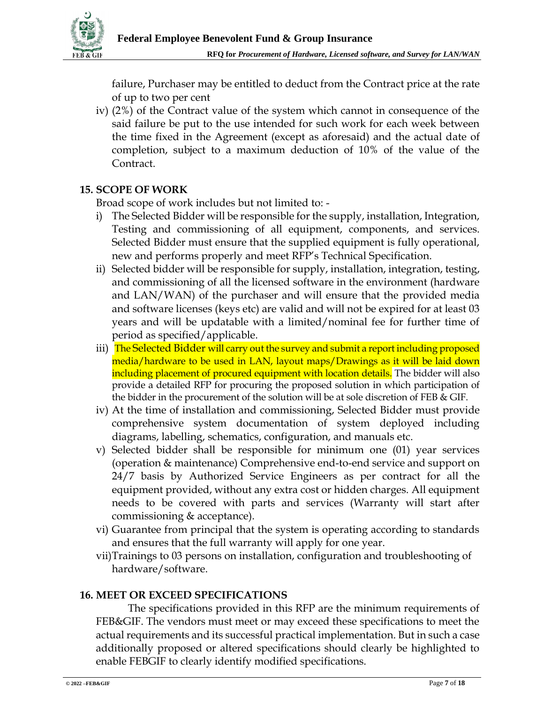

failure, Purchaser may be entitled to deduct from the Contract price at the rate of up to two per cent

iv) (2%) of the Contract value of the system which cannot in consequence of the said failure be put to the use intended for such work for each week between the time fixed in the Agreement (except as aforesaid) and the actual date of completion, subject to a maximum deduction of 10% of the value of the Contract.

## **15. SCOPE OF WORK**

Broad scope of work includes but not limited to: -

- i) The Selected Bidder will be responsible for the supply, installation, Integration, Testing and commissioning of all equipment, components, and services. Selected Bidder must ensure that the supplied equipment is fully operational, new and performs properly and meet RFP's Technical Specification.
- ii) Selected bidder will be responsible for supply, installation, integration, testing, and commissioning of all the licensed software in the environment (hardware and LAN/WAN) of the purchaser and will ensure that the provided media and software licenses (keys etc) are valid and will not be expired for at least 03 years and will be updatable with a limited/nominal fee for further time of period as specified/applicable.
- iii) The Selected Bidder will carry out the survey and submit a report including proposed media/hardware to be used in LAN, layout maps/Drawings as it will be laid down including placement of procured equipment with location details. The bidder will also provide a detailed RFP for procuring the proposed solution in which participation of the bidder in the procurement of the solution will be at sole discretion of FEB  $&$  GIF.
- iv) At the time of installation and commissioning, Selected Bidder must provide comprehensive system documentation of system deployed including diagrams, labelling, schematics, configuration, and manuals etc.
- v) Selected bidder shall be responsible for minimum one (01) year services (operation & maintenance) Comprehensive end-to-end service and support on 24/7 basis by Authorized Service Engineers as per contract for all the equipment provided, without any extra cost or hidden charges. All equipment needs to be covered with parts and services (Warranty will start after commissioning & acceptance).
- vi) Guarantee from principal that the system is operating according to standards and ensures that the full warranty will apply for one year.
- vii)Trainings to 03 persons on installation, configuration and troubleshooting of hardware/software.

## **16. MEET OR EXCEED SPECIFICATIONS**

The specifications provided in this RFP are the minimum requirements of FEB&GIF. The vendors must meet or may exceed these specifications to meet the actual requirements and its successful practical implementation. But in such a case additionally proposed or altered specifications should clearly be highlighted to enable FEBGIF to clearly identify modified specifications.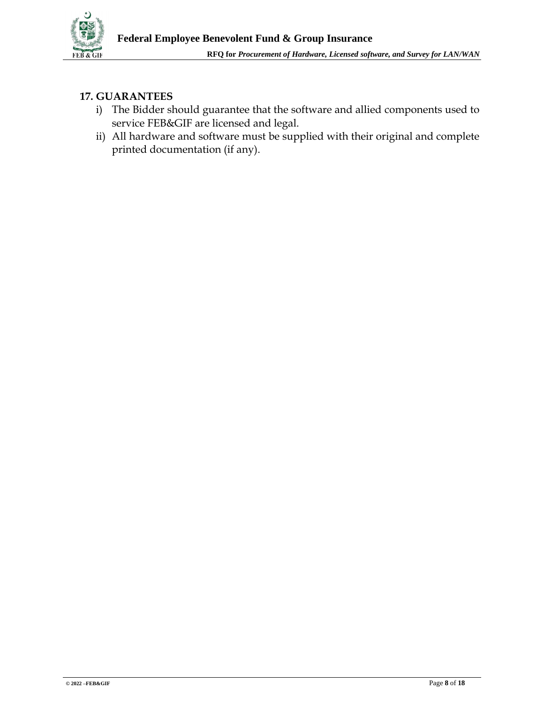

## **17. GUARANTEES**

- i) The Bidder should guarantee that the software and allied components used to service FEB&GIF are licensed and legal.
- ii) All hardware and software must be supplied with their original and complete printed documentation (if any).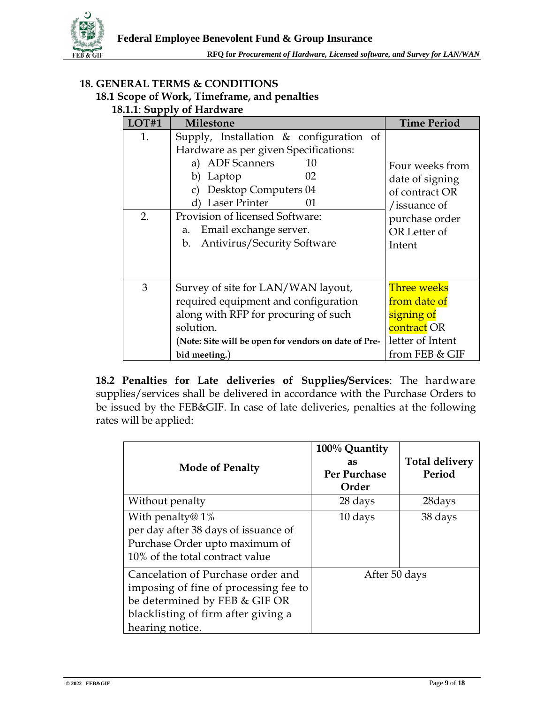

## **18. GENERAL TERMS & CONDITIONS**

#### **18.1 Scope of Work, Timeframe, and penalties 18.1.1**: **Supply of Hardware**

| LOT#1    | <b>Milestone</b>                                                                                                                                                                                                                                                                                         | <b>Time Period</b>                                                                                               |
|----------|----------------------------------------------------------------------------------------------------------------------------------------------------------------------------------------------------------------------------------------------------------------------------------------------------------|------------------------------------------------------------------------------------------------------------------|
| 1.<br>2. | Supply, Installation $\&$ configuration of<br>Hardware as per given Specifications:<br>a) ADF Scanners<br>10<br>b) Laptop<br>02<br>c) Desktop Computers 04<br>d) Laser Printer<br>01<br>Provision of licensed Software:<br>Email exchange server.<br>a.<br>Antivirus/Security Software<br>$\mathbf{b}$ . | Four weeks from<br>date of signing<br>of contract OR<br>/issuance of<br>purchase order<br>OR Letter of<br>Intent |
| 3        | Survey of site for LAN/WAN layout,<br>required equipment and configuration<br>along with RFP for procuring of such<br>solution.<br>(Note: Site will be open for vendors on date of Pre-<br>bid meeting.)                                                                                                 | Three weeks<br>from date of<br>signing of<br>contract OR<br>letter of Intent<br>from FEB & GIF                   |

**18.2 Penalties for Late deliveries of Supplies/Services**: The hardware supplies/services shall be delivered in accordance with the Purchase Orders to be issued by the FEB&GIF. In case of late deliveries, penalties at the following rates will be applied:

| <b>Mode of Penalty</b>                                                                                                                                                | 100% Quantity<br>as<br>Per Purchase<br>Order | <b>Total delivery</b><br>Period |
|-----------------------------------------------------------------------------------------------------------------------------------------------------------------------|----------------------------------------------|---------------------------------|
| Without penalty                                                                                                                                                       | 28 days                                      | 28 days                         |
| With penalty@ $1\%$<br>per day after 38 days of issuance of<br>Purchase Order upto maximum of<br>10% of the total contract value                                      | 10 days                                      | 38 days                         |
| Cancelation of Purchase order and<br>imposing of fine of processing fee to<br>be determined by FEB & GIF OR<br>blacklisting of firm after giving a<br>hearing notice. | After 50 days                                |                                 |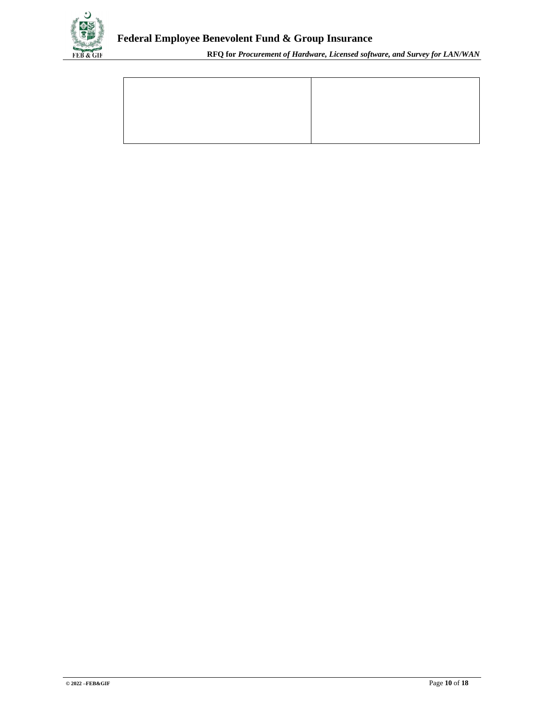

**RFQ for** *Procurement of Hardware, Licensed software, and Survey for LAN/WAN*

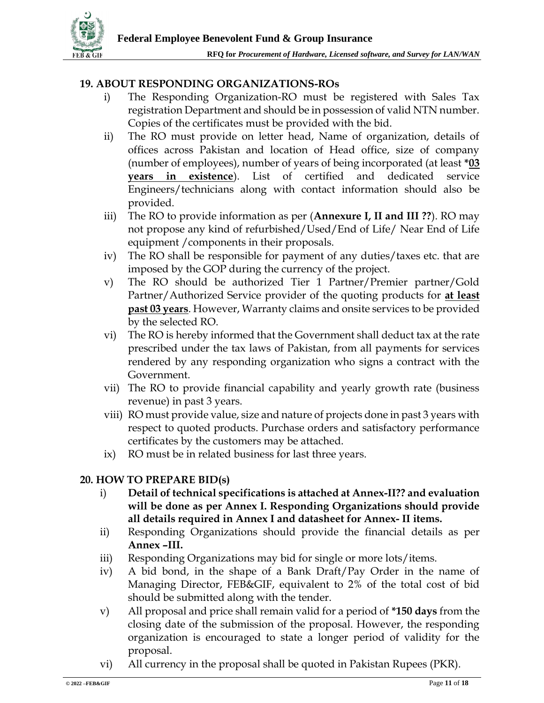## **19. ABOUT RESPONDING ORGANIZATIONS-ROs**

- i) The Responding Organization-RO must be registered with Sales Tax registration Department and should be in possession of valid NTN number. Copies of the certificates must be provided with the bid.
- ii) The RO must provide on letter head, Name of organization, details of offices across Pakistan and location of Head office, size of company (number of employees), number of years of being incorporated (at least **\*03 years in existence**). List of certified and dedicated service Engineers/technicians along with contact information should also be provided.
- iii) The RO to provide information as per (**Annexure I, II and III ??**). RO may not propose any kind of refurbished/Used/End of Life/ Near End of Life equipment /components in their proposals.
- iv) The RO shall be responsible for payment of any duties/taxes etc. that are imposed by the GOP during the currency of the project.
- v) The RO should be authorized Tier 1 Partner/Premier partner/Gold Partner/Authorized Service provider of the quoting products for **at least past 03 years**. However, Warranty claims and onsite services to be provided by the selected RO.
- vi) The RO is hereby informed that the Government shall deduct tax at the rate prescribed under the tax laws of Pakistan, from all payments for services rendered by any responding organization who signs a contract with the Government.
- vii) The RO to provide financial capability and yearly growth rate (business revenue) in past 3 years.
- viii) RO must provide value, size and nature of projects done in past 3 years with respect to quoted products. Purchase orders and satisfactory performance certificates by the customers may be attached.
- ix) RO must be in related business for last three years.

## **20. HOW TO PREPARE BID(s)**

- i) **Detail of technical specifications is attached at Annex-II?? and evaluation will be done as per Annex I. Responding Organizations should provide all details required in Annex I and datasheet for Annex- II items.**
- ii) Responding Organizations should provide the financial details as per **Annex –III.**
- iii) Responding Organizations may bid for single or more lots/items.
- iv) A bid bond, in the shape of a Bank Draft/Pay Order in the name of Managing Director, FEB&GIF, equivalent to 2% of the total cost of bid should be submitted along with the tender.
- v) All proposal and price shall remain valid for a period of **\*150 days** from the closing date of the submission of the proposal. However, the responding organization is encouraged to state a longer period of validity for the proposal.
- vi) All currency in the proposal shall be quoted in Pakistan Rupees (PKR).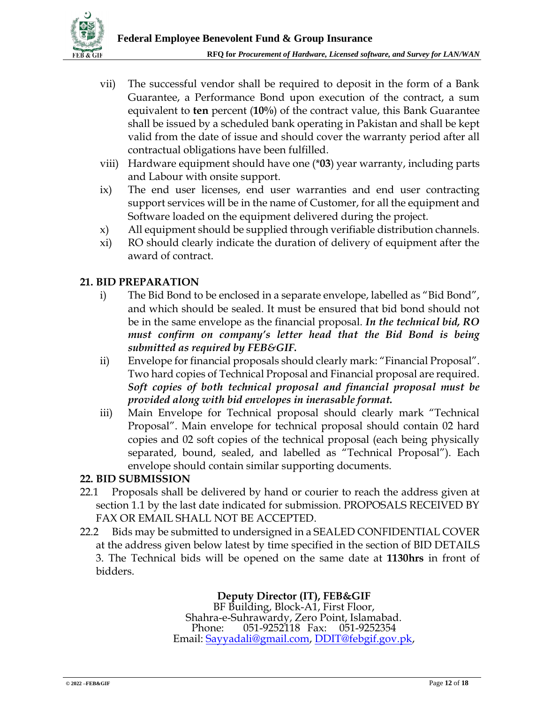

- vii) The successful vendor shall be required to deposit in the form of a Bank Guarantee, a Performance Bond upon execution of the contract, a sum equivalent to **ten** percent (**10%**) of the contract value, this Bank Guarantee shall be issued by a scheduled bank operating in Pakistan and shall be kept valid from the date of issue and should cover the warranty period after all contractual obligations have been fulfilled.
- viii) Hardware equipment should have one (\***03**) year warranty, including parts and Labour with onsite support.
- ix) The end user licenses, end user warranties and end user contracting support services will be in the name of Customer, for all the equipment and Software loaded on the equipment delivered during the project.
- x) All equipment should be supplied through verifiable distribution channels.
- xi) RO should clearly indicate the duration of delivery of equipment after the award of contract.

## **21. BID PREPARATION**

- i) The Bid Bond to be enclosed in a separate envelope, labelled as "Bid Bond", and which should be sealed. It must be ensured that bid bond should not be in the same envelope as the financial proposal. *In the technical bid, RO must confirm on company's letter head that the Bid Bond is being submitted as required by FEB&GIF.*
- ii) Envelope for financial proposals should clearly mark: "Financial Proposal". Two hard copies of Technical Proposal and Financial proposal are required. *Soft copies of both technical proposal and financial proposal must be provided along with bid envelopes in inerasable format.*
- iii) Main Envelope for Technical proposal should clearly mark "Technical Proposal". Main envelope for technical proposal should contain 02 hard copies and 02 soft copies of the technical proposal (each being physically separated, bound, sealed, and labelled as "Technical Proposal"). Each envelope should contain similar supporting documents.

## **22. BID SUBMISSION**

- 22.1 Proposals shall be delivered by hand or courier to reach the address given at section 1.1 by the last date indicated for submission. PROPOSALS RECEIVED BY FAX OR EMAIL SHALL NOT BE ACCEPTED.
- 22.2 Bids may be submitted to undersigned in a SEALED CONFIDENTIAL COVER at the address given below latest by time specified in the section of BID DETAILS 3. The Technical bids will be opened on the same date at **1130hrs** in front of bidders.

## **Deputy Director (IT), FEB&GIF**

BF Building, Block-A1, First Floor, Shahra-e-Suhrawardy, Zero Point, Islamabad. Phone: 051-9252118 Fax: 051-9252354 Email: [Sayyadali@gmail.com,](mailto:Sayyadali@gmail.com) [DDIT@febgif.gov.pk,](mailto:DDIT@febgif.gov.pk)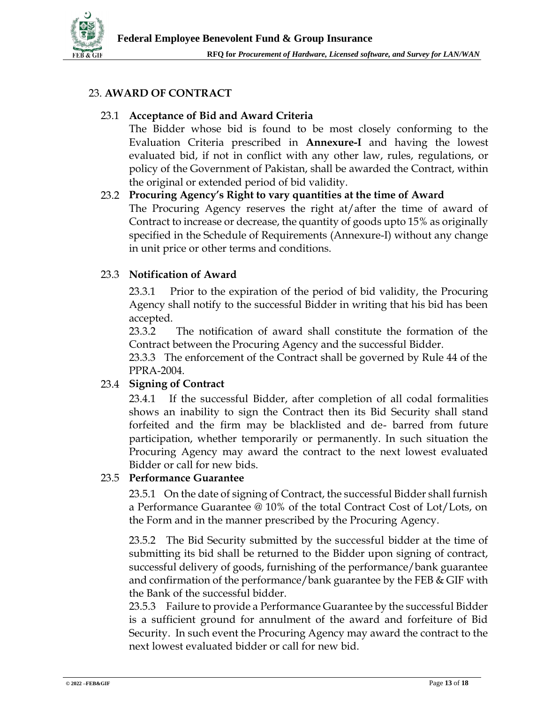

## 23. **AWARD OF CONTRACT**

## 23.1 **Acceptance of Bid and Award Criteria**

The Bidder whose bid is found to be most closely conforming to the Evaluation Criteria prescribed in **Annexure-I** and having the lowest evaluated bid, if not in conflict with any other law, rules, regulations, or policy of the Government of Pakistan, shall be awarded the Contract, within the original or extended period of bid validity.

## 23.2 **Procuring Agency's Right to vary quantities at the time of Award**

The Procuring Agency reserves the right at/after the time of award of Contract to increase or decrease, the quantity of goods upto 15% as originally specified in the Schedule of Requirements (Annexure-I) without any change in unit price or other terms and conditions.

## 23.3 **Notification of Award**

23.3.1 Prior to the expiration of the period of bid validity, the Procuring Agency shall notify to the successful Bidder in writing that his bid has been accepted.

23.3.2 The notification of award shall constitute the formation of the Contract between the Procuring Agency and the successful Bidder.

23.3.3 The enforcement of the Contract shall be governed by Rule 44 of the PPRA-2004.

## 23.4 **Signing of Contract**

23.4.1 If the successful Bidder, after completion of all codal formalities shows an inability to sign the Contract then its Bid Security shall stand forfeited and the firm may be blacklisted and de- barred from future participation, whether temporarily or permanently. In such situation the Procuring Agency may award the contract to the next lowest evaluated Bidder or call for new bids.

## 23.5 **Performance Guarantee**

23.5.1 On the date of signing of Contract, the successful Bidder shall furnish a Performance Guarantee @ 10% of the total Contract Cost of Lot/Lots, on the Form and in the manner prescribed by the Procuring Agency.

23.5.2 The Bid Security submitted by the successful bidder at the time of submitting its bid shall be returned to the Bidder upon signing of contract, successful delivery of goods, furnishing of the performance/bank guarantee and confirmation of the performance/bank guarantee by the FEB & GIF with the Bank of the successful bidder.

23.5.3 Failure to provide a Performance Guarantee by the successful Bidder is a sufficient ground for annulment of the award and forfeiture of Bid Security. In such event the Procuring Agency may award the contract to the next lowest evaluated bidder or call for new bid.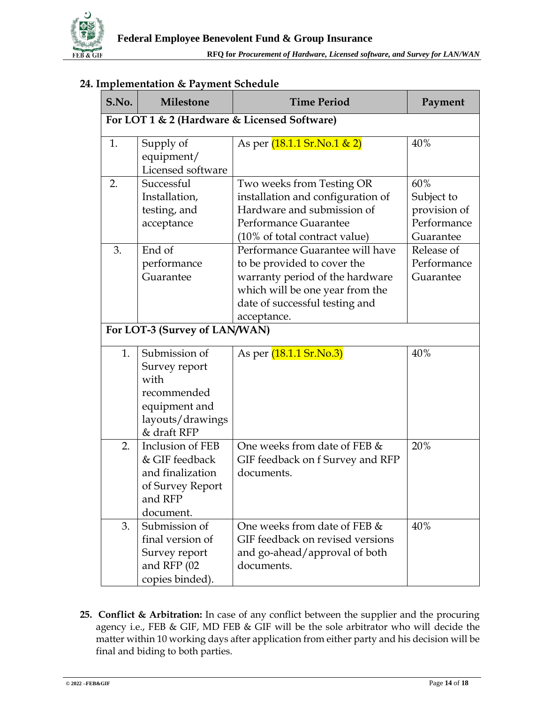

| 24. Implementation & Payment Schedule |
|---------------------------------------|
|---------------------------------------|

| S.No.                                        | <b>Milestone</b>                                                                                          | <b>Time Period</b>                                                                                                                                                                    | Payment                                                       |  |  |  |  |
|----------------------------------------------|-----------------------------------------------------------------------------------------------------------|---------------------------------------------------------------------------------------------------------------------------------------------------------------------------------------|---------------------------------------------------------------|--|--|--|--|
| For LOT 1 & 2 (Hardware & Licensed Software) |                                                                                                           |                                                                                                                                                                                       |                                                               |  |  |  |  |
| 1.                                           | Supply of<br>equipment/<br>Licensed software                                                              | As per (18.1.1 Sr.No.1 & 2)                                                                                                                                                           | 40%                                                           |  |  |  |  |
| 2.                                           | Successful<br>Installation,<br>testing, and<br>acceptance                                                 | Two weeks from Testing OR<br>installation and configuration of<br>Hardware and submission of<br>Performance Guarantee<br>(10% of total contract value)                                | 60%<br>Subject to<br>provision of<br>Performance<br>Guarantee |  |  |  |  |
| 3.                                           | End of<br>performance<br>Guarantee<br>For LOT-3 (Survey of LAN/WAN)                                       | Performance Guarantee will have<br>to be provided to cover the<br>warranty period of the hardware<br>which will be one year from the<br>date of successful testing and<br>acceptance. | Release of<br>Performance<br>Guarantee                        |  |  |  |  |
|                                              |                                                                                                           |                                                                                                                                                                                       |                                                               |  |  |  |  |
| 1.                                           | Submission of<br>Survey report<br>with<br>recommended<br>equipment and<br>layouts/drawings<br>& draft RFP | As per (18.1.1 Sr.No.3)                                                                                                                                                               | 40%                                                           |  |  |  |  |
| 2.                                           | Inclusion of FEB<br>& GIF feedback<br>and finalization<br>of Survey Report<br>and RFP<br>document.        | One weeks from date of FEB &<br>GIF feedback on f Survey and RFP<br>documents.                                                                                                        | 20%                                                           |  |  |  |  |
| 3.                                           | Submission of<br>final version of<br>Survey report<br>and RFP (02<br>copies binded).                      | One weeks from date of FEB &<br>GIF feedback on revised versions<br>and go-ahead/approval of both<br>documents.                                                                       | 40%                                                           |  |  |  |  |

**25. Conflict & Arbitration:** In case of any conflict between the supplier and the procuring agency i.e., FEB & GIF, MD FEB & GIF will be the sole arbitrator who will decide the matter within 10 working days after application from either party and his decision will be final and biding to both parties.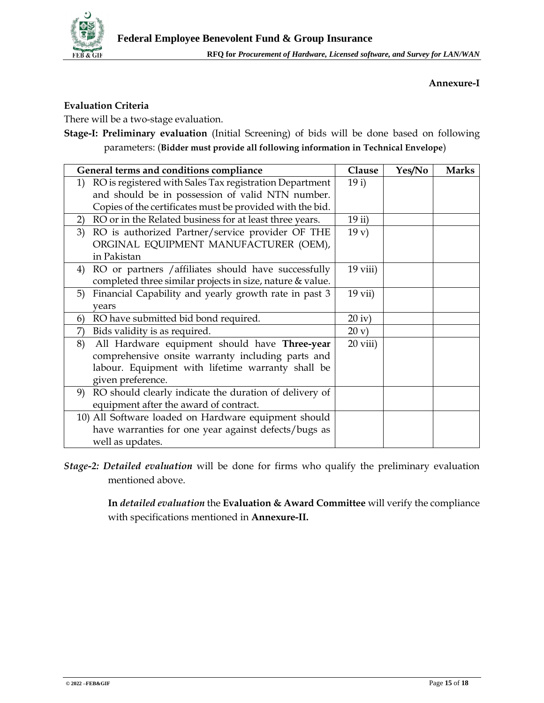

#### **Annexure-I**

#### **Evaluation Criteria**

There will be a two-stage evaluation.

**Stage-I: Preliminary evaluation** (Initial Screening) of bids will be done based on following parameters: (**Bidder must provide all following information in Technical Envelope**)

| General terms and conditions compliance                       | Clause               | Yes/No | <b>Marks</b> |
|---------------------------------------------------------------|----------------------|--------|--------------|
| RO is registered with Sales Tax registration Department<br>1) | $19i$ )              |        |              |
| and should be in possession of valid NTN number.              |                      |        |              |
| Copies of the certificates must be provided with the bid.     |                      |        |              |
| RO or in the Related business for at least three years.<br>2) | $19$ ii)             |        |              |
| RO is authorized Partner/service provider OF THE<br>3)        | 19y)                 |        |              |
| ORGINAL EQUIPMENT MANUFACTURER (OEM),                         |                      |        |              |
| in Pakistan                                                   |                      |        |              |
| RO or partners / affiliates should have successfully<br>4)    | $19 \text{ viii}$    |        |              |
| completed three similar projects in size, nature & value.     |                      |        |              |
| Financial Capability and yearly growth rate in past 3<br>5)   | $19 \,\mathrm{vii}$  |        |              |
| vears                                                         |                      |        |              |
| RO have submitted bid bond required.<br>6)                    | $20$ iv)             |        |              |
| Bids validity is as required.<br>7)                           | $20 \text{ v}$       |        |              |
| All Hardware equipment should have Three-year<br>8)           | $20 \,\mathrm{viii}$ |        |              |
| comprehensive onsite warranty including parts and             |                      |        |              |
| labour. Equipment with lifetime warranty shall be             |                      |        |              |
| given preference.                                             |                      |        |              |
| RO should clearly indicate the duration of delivery of<br>9)  |                      |        |              |
| equipment after the award of contract.                        |                      |        |              |
| 10) All Software loaded on Hardware equipment should          |                      |        |              |
| have warranties for one year against defects/bugs as          |                      |        |              |
| well as updates.                                              |                      |        |              |

*Stage-2: Detailed evaluation* will be done for firms who qualify the preliminary evaluation mentioned above.

> **In** *detailed evaluation* the **Evaluation & Award Committee** will verify the compliance with specifications mentioned in **Annexure-II.**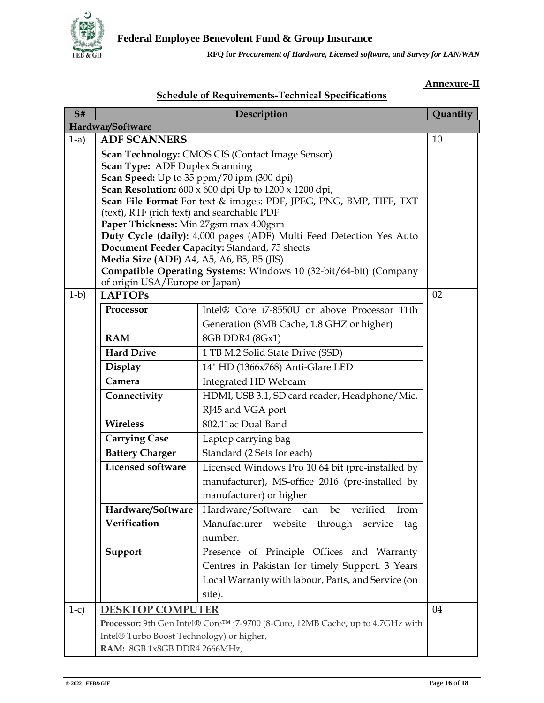

#### **Annexure-II**

## **Schedule of Requirements-Technical Specifications**

| S#     | Description                                                                  |                                                                                |    |  |  |  |  |
|--------|------------------------------------------------------------------------------|--------------------------------------------------------------------------------|----|--|--|--|--|
|        | Hardwar/Software                                                             |                                                                                |    |  |  |  |  |
| $1-a)$ | <b>ADF SCANNERS</b>                                                          |                                                                                | 10 |  |  |  |  |
|        |                                                                              | Scan Technology: CMOS CIS (Contact Image Sensor)                               |    |  |  |  |  |
|        | <b>Scan Type: ADF Duplex Scanning</b>                                        |                                                                                |    |  |  |  |  |
|        | Scan Speed: Up to 35 ppm/70 ipm (300 dpi)                                    |                                                                                |    |  |  |  |  |
|        |                                                                              | Scan Resolution: $600 \times 600$ dpi Up to $1200 \times 1200$ dpi,            |    |  |  |  |  |
|        | (text), RTF (rich text) and searchable PDF                                   | Scan File Format For text & images: PDF, JPEG, PNG, BMP, TIFF, TXT             |    |  |  |  |  |
|        | Paper Thickness: Min 27gsm max 400gsm                                        |                                                                                |    |  |  |  |  |
|        |                                                                              | Duty Cycle (daily): 4,000 pages (ADF) Multi Feed Detection Yes Auto            |    |  |  |  |  |
|        | Document Feeder Capacity: Standard, 75 sheets                                |                                                                                |    |  |  |  |  |
|        | Media Size (ADF) A4, A5, A6, B5, B5 (JIS)                                    |                                                                                |    |  |  |  |  |
|        |                                                                              | Compatible Operating Systems: Windows 10 (32-bit/64-bit) (Company              |    |  |  |  |  |
|        | of origin USA/Europe or Japan)                                               |                                                                                |    |  |  |  |  |
| $1-b)$ | <b>LAPTOPs</b>                                                               |                                                                                | 02 |  |  |  |  |
|        | Processor                                                                    | Intel® Core i7-8550U or above Processor 11th                                   |    |  |  |  |  |
|        |                                                                              | Generation (8MB Cache, 1.8 GHZ or higher)                                      |    |  |  |  |  |
|        | <b>RAM</b>                                                                   | 8GB DDR4 (8Gx1)                                                                |    |  |  |  |  |
|        | <b>Hard Drive</b>                                                            | 1 TB M.2 Solid State Drive (SSD)                                               |    |  |  |  |  |
|        | <b>Display</b>                                                               | 14" HD (1366x768) Anti-Glare LED                                               |    |  |  |  |  |
|        | Camera                                                                       |                                                                                |    |  |  |  |  |
|        | Connectivity                                                                 | HDMI, USB 3.1, SD card reader, Headphone/Mic,                                  |    |  |  |  |  |
|        |                                                                              | RJ45 and VGA port                                                              |    |  |  |  |  |
|        | <b>Wireless</b><br>802.11ac Dual Band                                        |                                                                                |    |  |  |  |  |
|        | <b>Carrying Case</b><br>Laptop carrying bag                                  |                                                                                |    |  |  |  |  |
|        | <b>Battery Charger</b><br>Standard (2 Sets for each)                         |                                                                                |    |  |  |  |  |
|        | <b>Licensed software</b><br>Licensed Windows Pro 10 64 bit (pre-installed by |                                                                                |    |  |  |  |  |
|        |                                                                              | manufacturer), MS-office 2016 (pre-installed by                                |    |  |  |  |  |
|        |                                                                              | manufacturer) or higher                                                        |    |  |  |  |  |
|        | Hardware/Software                                                            | Hardware/Software<br>be<br>from<br>can<br>verified                             |    |  |  |  |  |
|        | Verification                                                                 | Manufacturer website<br>through<br>service<br>tag                              |    |  |  |  |  |
|        |                                                                              | number.                                                                        |    |  |  |  |  |
|        | Support                                                                      | Presence of Principle Offices and Warranty                                     |    |  |  |  |  |
|        |                                                                              | Centres in Pakistan for timely Support. 3 Years                                |    |  |  |  |  |
|        |                                                                              | Local Warranty with labour, Parts, and Service (on                             |    |  |  |  |  |
|        |                                                                              | site).                                                                         |    |  |  |  |  |
|        |                                                                              |                                                                                | 04 |  |  |  |  |
| $1-c)$ | <b>DESKTOP COMPUTER</b>                                                      |                                                                                |    |  |  |  |  |
|        |                                                                              | Processor: 9th Gen Intel® Core™ i7-9700 (8-Core, 12MB Cache, up to 4.7GHz with |    |  |  |  |  |
|        | Intel® Turbo Boost Technology) or higher,                                    |                                                                                |    |  |  |  |  |
|        | RAM: 8GB 1x8GB DDR4 2666MHz,                                                 |                                                                                |    |  |  |  |  |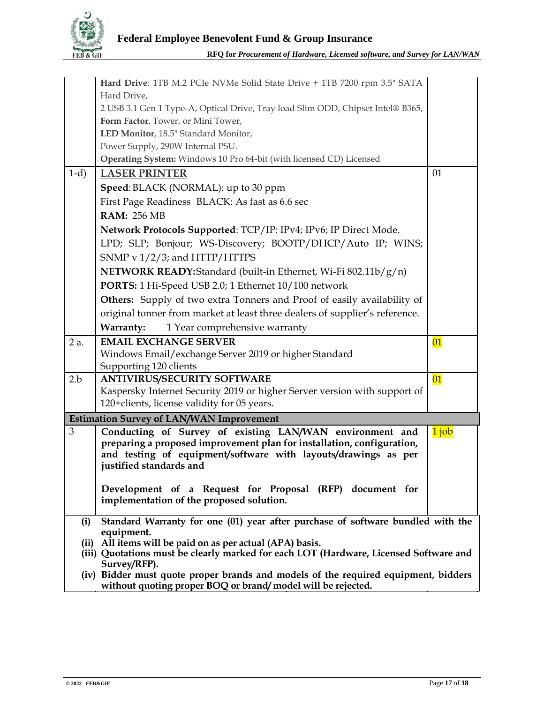

|       | Hard Drive: 1TB M.2 PCIe NVMe Solid State Drive + 1TB 7200 rpm 3.5" SATA                                                                           |         |
|-------|----------------------------------------------------------------------------------------------------------------------------------------------------|---------|
|       | Hard Drive,                                                                                                                                        |         |
|       | 2 USB 3.1 Gen 1 Type-A, Optical Drive, Tray load Slim ODD, Chipset Intel® B365,                                                                    |         |
|       | Form Factor, Tower, or Mini Tower,                                                                                                                 |         |
|       | LED Monitor, 18.5" Standard Monitor,                                                                                                               |         |
|       | Power Supply, 290W Internal PSU.                                                                                                                   |         |
|       | Operating System: Windows 10 Pro 64-bit (with licensed CD) Licensed                                                                                |         |
| $1-d$ | <b>LASER PRINTER</b>                                                                                                                               | 01      |
|       | Speed: BLACK (NORMAL): up to 30 ppm                                                                                                                |         |
|       | First Page Readiness BLACK: As fast as 6.6 sec                                                                                                     |         |
|       | <b>RAM: 256 MB</b>                                                                                                                                 |         |
|       | Network Protocols Supported: TCP/IP: IPv4; IPv6; IP Direct Mode.                                                                                   |         |
|       | LPD; SLP; Bonjour; WS-Discovery; BOOTP/DHCP/Auto IP; WINS;                                                                                         |         |
|       | SNMP v 1/2/3; and HTTP/HTTPS                                                                                                                       |         |
|       | <b>NETWORK READY:</b> Standard (built-in Ethernet, Wi-Fi 802.11b/ $g/n$ )                                                                          |         |
|       | PORTS: 1 Hi-Speed USB 2.0; 1 Ethernet 10/100 network                                                                                               |         |
|       | Others: Supply of two extra Tonners and Proof of easily availability of                                                                            |         |
|       | original tonner from market at least three dealers of supplier's reference.                                                                        |         |
|       | Warranty:<br>1 Year comprehensive warranty                                                                                                         |         |
|       |                                                                                                                                                    |         |
| 2 a.  | <b>EMAIL EXCHANGE SERVER</b>                                                                                                                       | 01      |
|       | Windows Email/exchange Server 2019 or higher Standard                                                                                              |         |
|       | Supporting 120 clients                                                                                                                             |         |
| 2.b   | <b>ANTIVIRUS/SECURITY SOFTWARE</b>                                                                                                                 | 01      |
|       | Kaspersky Internet Security 2019 or higher Server version with support of                                                                          |         |
|       | 120+clients, license validity for 05 years.                                                                                                        |         |
|       | <b>Estimation Survey of LAN/WAN Improvement</b>                                                                                                    |         |
| 3     | Conducting of Survey of existing LAN/WAN environment and                                                                                           | $1$ job |
|       | preparing a proposed improvement plan for installation, configuration,                                                                             |         |
|       | and testing of equipment/software with layouts/drawings as per                                                                                     |         |
|       | justified standards and                                                                                                                            |         |
|       |                                                                                                                                                    |         |
|       | Development of a Request for Proposal (RFP) document for<br>implementation of the proposed solution.                                               |         |
|       |                                                                                                                                                    |         |
| (i)   | Standard Warranty for one (01) year after purchase of software bundled with the                                                                    |         |
|       | equipment.                                                                                                                                         |         |
|       | (ii) All items will be paid on as per actual (APA) basis.<br>(iii) Quotations must be clearly marked for each LOT (Hardware, Licensed Software and |         |
|       | Survey/RFP).                                                                                                                                       |         |
|       | (iv) Bidder must quote proper brands and models of the required equipment, bidders<br>without quoting proper BOQ or brand/model will be rejected.  |         |